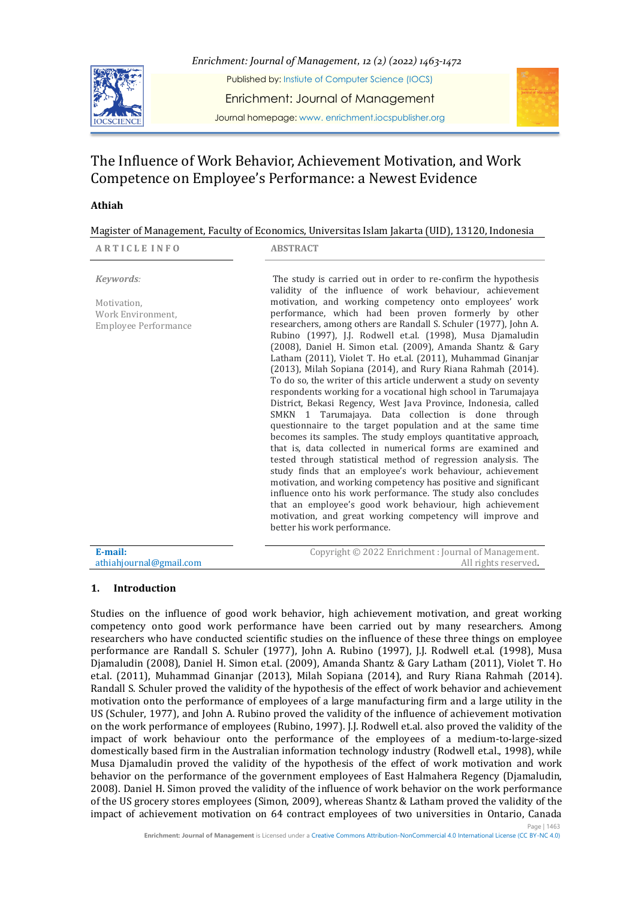

*Enrichment: Journal of Management, 12 (2) (2022) 1463-1472* Published by: Instiute of Computer Science (IOCS) Enrichment: Journal of Management Journal homepage: www. enrichment.iocspublisher.org



# The Influence of Work Behavior, Achievement Motivation, and Work Competence on Employee's Performance: a Newest Evidence

# **Athiah**

|  |  | Magister of Management, Faculty of Economics, Universitas Islam Jakarta (UID), 13120, Indonesia |
|--|--|-------------------------------------------------------------------------------------------------|
|  |  |                                                                                                 |

| <b>ARTICLE INFO</b>                                                   | <b>ABSTRACT</b>                                                                                                                                                                                                                                                                                                                                                                                                                                                                                                                                                                                                                                                                                                                                                                                                                                                                                                                                                                                                                                                                                                                                                                                                                                                                                                                                                                                                                                                          |
|-----------------------------------------------------------------------|--------------------------------------------------------------------------------------------------------------------------------------------------------------------------------------------------------------------------------------------------------------------------------------------------------------------------------------------------------------------------------------------------------------------------------------------------------------------------------------------------------------------------------------------------------------------------------------------------------------------------------------------------------------------------------------------------------------------------------------------------------------------------------------------------------------------------------------------------------------------------------------------------------------------------------------------------------------------------------------------------------------------------------------------------------------------------------------------------------------------------------------------------------------------------------------------------------------------------------------------------------------------------------------------------------------------------------------------------------------------------------------------------------------------------------------------------------------------------|
| Keywords:<br>Motivation,<br>Work Environment.<br>Employee Performance | The study is carried out in order to re-confirm the hypothesis<br>validity of the influence of work behaviour, achievement<br>motivation, and working competency onto employees' work<br>performance, which had been proven formerly by other<br>researchers, among others are Randall S. Schuler (1977), John A.<br>Rubino (1997), J.J. Rodwell et.al. (1998), Musa Djamaludin<br>(2008), Daniel H. Simon et.al. (2009), Amanda Shantz & Gary<br>Latham (2011), Violet T. Ho et.al. (2011), Muhammad Ginanjar<br>(2013), Milah Sopiana (2014), and Rury Riana Rahmah (2014).<br>To do so, the writer of this article underwent a study on seventy<br>respondents working for a vocational high school in Tarumajaya<br>District, Bekasi Regency, West Java Province, Indonesia, called<br>SMKN 1 Tarumajaya. Data collection is done through<br>questionnaire to the target population and at the same time<br>becomes its samples. The study employs quantitative approach,<br>that is, data collected in numerical forms are examined and<br>tested through statistical method of regression analysis. The<br>study finds that an employee's work behaviour, achievement<br>motivation, and working competency has positive and significant<br>influence onto his work performance. The study also concludes<br>that an employee's good work behaviour, high achievement<br>motivation, and great working competency will improve and<br>better his work performance. |
| E-mail:                                                               | Copyright © 2022 Enrichment: Journal of Management.                                                                                                                                                                                                                                                                                                                                                                                                                                                                                                                                                                                                                                                                                                                                                                                                                                                                                                                                                                                                                                                                                                                                                                                                                                                                                                                                                                                                                      |

#### athiahjournal@gmail.com All rights reserved.

# **1. Introduction**

Page | 1463 Studies on the influence of good work behavior, high achievement motivation, and great working competency onto good work performance have been carried out by many researchers. Among researchers who have conducted scientific studies on the influence of these three things on employee performance are Randall S. Schuler (1977), John A. Rubino (1997), J.J. Rodwell et.al. (1998), Musa Djamaludin (2008), Daniel H. Simon et.al. (2009), Amanda Shantz & Gary Latham (2011), Violet T. Ho et.al. (2011), Muhammad Ginanjar (2013), Milah Sopiana (2014), and Rury Riana Rahmah (2014). Randall S. Schuler proved the validity of the hypothesis of the effect of work behavior and achievement motivation onto the performance of employees of a large manufacturing firm and a large utility in the US (Schuler, 1977), and John A. Rubino proved the validity of the influence of achievement motivation on the work performance of employees (Rubino, 1997). J.J. Rodwell et.al. also proved the validity of the impact of work behaviour onto the performance of the employees of a medium-to-large-sized domestically based firm in the Australian information technology industry (Rodwell et.al., 1998), while Musa Djamaludin proved the validity of the hypothesis of the effect of work motivation and work behavior on the performance of the government employees of East Halmahera Regency (Djamaludin, 2008). Daniel H. Simon proved the validity of the influence of work behavior on the work performance of the US grocery stores employees (Simon, 2009), whereas Shantz & Latham proved the validity of the impact of achievement motivation on 64 contract employees of two universities in Ontario, Canada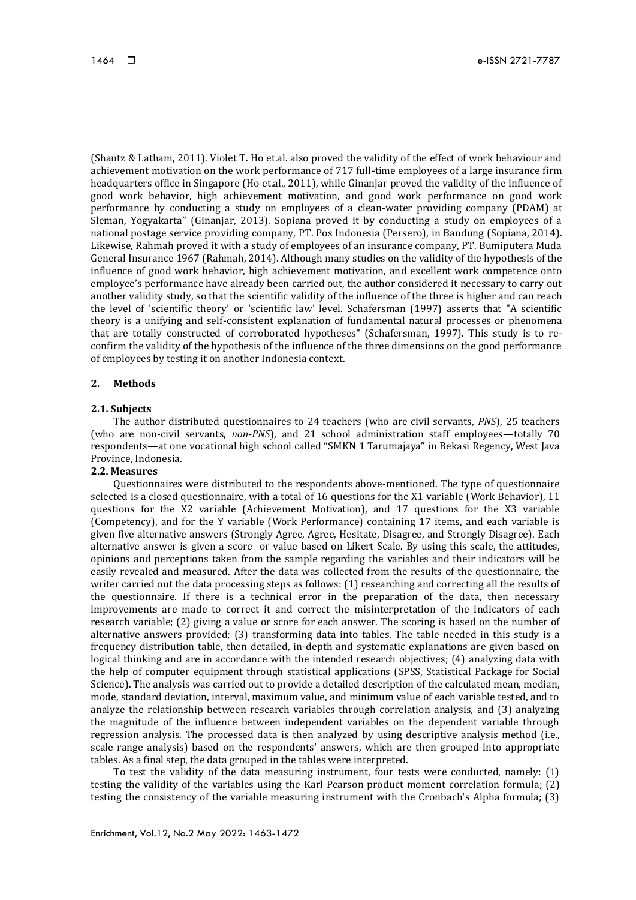(Shantz & Latham, 2011). Violet T. Ho et.al. also proved the validity of the effect of work behaviour and achievement motivation on the work performance of 717 full-time employees of a large insurance firm headquarters office in Singapore (Ho et.al., 2011), while Ginanjar proved the validity of the influence of good work behavior, high achievement motivation, and good work performance on good work performance by conducting a study on employees of a clean-water providing company (PDAM) at Sleman, Yogyakarta" (Ginanjar, 2013). Sopiana proved it by conducting a study on employees of a national postage service providing company, PT. Pos Indonesia (Persero), in Bandung (Sopiana, 2014). Likewise, Rahmah proved it with a study of employees of an insurance company, PT. Bumiputera Muda General Insurance 1967 (Rahmah, 2014). Although many studies on the validity of the hypothesis of the influence of good work behavior, high achievement motivation, and excellent work competence onto employee's performance have already been carried out, the author considered it necessary to carry out another validity study, so that the scientific validity of the influence of the three is higher and can reach the level of 'scientific theory' or 'scientific law' level. Schafersman (1997) asserts that "A scientific theory is a unifying and self-consistent explanation of fundamental natural processes or phenomena that are totally constructed of corroborated hypotheses" (Schafersman, 1997). This study is to reconfirm the validity of the hypothesis of the influence of the three dimensions on the good performance of employees by testing it on another Indonesia context.

## **2. Methods**

#### **2.1. Subjects**

The author distributed questionnaires to 24 teachers (who are civil servants, *PNS*), 25 teachers (who are non-civil servants, *non-PNS*), and 21 school administration staff employees—totally 70 respondents—at one vocational high school called "SMKN 1 Tarumajaya" in Bekasi Regency, West Java Province, Indonesia.

#### **2.2. Measures**

Questionnaires were distributed to the respondents above-mentioned. The type of questionnaire selected is a closed questionnaire, with a total of 16 questions for the X1 variable (Work Behavior), 11 questions for the X2 variable (Achievement Motivation), and 17 questions for the X3 variable (Competency), and for the Y variable (Work Performance) containing 17 items, and each variable is given five alternative answers (Strongly Agree, Agree, Hesitate, Disagree, and Strongly Disagree). Each alternative answer is given a score or value based on Likert Scale. By using this scale, the attitudes, opinions and perceptions taken from the sample regarding the variables and their indicators will be easily revealed and measured. After the data was collected from the results of the questionnaire, the writer carried out the data processing steps as follows: (1) researching and correcting all the results of the questionnaire. If there is a technical error in the preparation of the data, then necessary improvements are made to correct it and correct the misinterpretation of the indicators of each research variable; (2) giving a value or score for each answer. The scoring is based on the number of alternative answers provided; (3) transforming data into tables. The table needed in this study is a frequency distribution table, then detailed, in-depth and systematic explanations are given based on logical thinking and are in accordance with the intended research objectives; (4) analyzing data with the help of computer equipment through statistical applications (SPSS, Statistical Package for Social Science). The analysis was carried out to provide a detailed description of the calculated mean, median, mode, standard deviation, interval, maximum value, and minimum value of each variable tested, and to analyze the relationship between research variables through correlation analysis, and (3) analyzing the magnitude of the influence between independent variables on the dependent variable through regression analysis. The processed data is then analyzed by using descriptive analysis method (i.e., scale range analysis) based on the respondents' answers, which are then grouped into appropriate tables. As a final step, the data grouped in the tables were interpreted.

To test the validity of the data measuring instrument, four tests were conducted, namely: (1) testing the validity of the variables using the Karl Pearson product moment correlation formula; (2) testing the consistency of the variable measuring instrument with the Cronbach's Alpha formula; (3)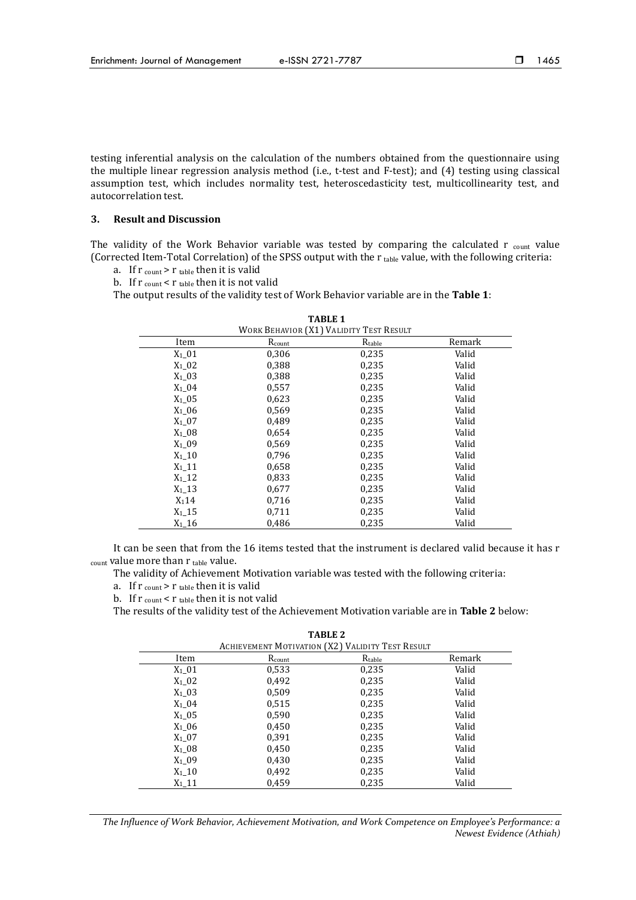testing inferential analysis on the calculation of the numbers obtained from the questionnaire using the multiple linear regression analysis method (i.e., t-test and F-test); and (4) testing using classical assumption test, which includes normality test, heteroscedasticity test, multicollinearity test, and autocorrelation test.

### **3. Result and Discussion**

The validity of the Work Behavior variable was tested by comparing the calculated  $r_{\text{count}}$  value (Corrected Item-Total Correlation) of the SPSS output with the  $r_{\text{table}}$  value, with the following criteria:

- a. If  $r_{\text{count}} > r_{\text{table}}$  then it is valid
- b. If  $r_{\text{count}} < r_{\text{table}}$  then it is not valid

The output results of the validity test of Work Behavior variable are in the **Table 1**:

| WORK BEHAVIOR (X1) VALIDITY TEST RESULT |        |        |        |  |
|-----------------------------------------|--------|--------|--------|--|
| Item                                    | Rcount | Rtable | Remark |  |
| $X_1$ 01                                | 0,306  | 0,235  | Valid  |  |
| $X_1$ 02                                | 0,388  | 0,235  | Valid  |  |
| $X_1$ 03                                | 0,388  | 0,235  | Valid  |  |
| $X_1$ 04                                | 0,557  | 0,235  | Valid  |  |
| $X_1$ 05                                | 0,623  | 0,235  | Valid  |  |
| $X_1$ 06                                | 0,569  | 0,235  | Valid  |  |
| $X_1$ 07                                | 0,489  | 0,235  | Valid  |  |
| $X_1$ 08                                | 0,654  | 0,235  | Valid  |  |
| $X_1$ 09                                | 0,569  | 0,235  | Valid  |  |
| $X_1$ 10                                | 0,796  | 0,235  | Valid  |  |
| $X_1$ 11                                | 0,658  | 0,235  | Valid  |  |
| $X_1$ 12                                | 0,833  | 0,235  | Valid  |  |
| $X_1$ 13                                | 0,677  | 0,235  | Valid  |  |
| $X_114$                                 | 0,716  | 0,235  | Valid  |  |
| $X_1$ 15                                | 0,711  | 0,235  | Valid  |  |
| $X_1$ 16                                | 0,486  | 0,235  | Valid  |  |

It can be seen that from the 16 items tested that the instrument is declared valid because it has r count value more than r table value.

The validity of Achievement Motivation variable was tested with the following criteria:

- a. If  $r_{\text{count}} > r_{\text{table}}$  then it is valid
- b. If  $r_{\text{count}} < r_{\text{table}}$  then it is not valid

The results of the validity test of the Achievement Motivation variable are in **Table 2** below:

| <b>ACHIEVEMENT MOTIVATION (X2) VALIDITY TEST RESULT</b> |        |        |        |  |
|---------------------------------------------------------|--------|--------|--------|--|
| Item                                                    | Rcount | Rtable | Remark |  |
| $X_1$ 01                                                | 0,533  | 0,235  | Valid  |  |
| $X_1$ 02                                                | 0,492  | 0,235  | Valid  |  |
| $X_1$ 03                                                | 0,509  | 0,235  | Valid  |  |
| $X_1$ 04                                                | 0,515  | 0,235  | Valid  |  |
| $X_1$ _05                                               | 0,590  | 0,235  | Valid  |  |
| $X_1$ 06                                                | 0,450  | 0,235  | Valid  |  |
| $X_1$ 07                                                | 0,391  | 0,235  | Valid  |  |
| $X_1$ 08                                                | 0,450  | 0,235  | Valid  |  |
| $X_1$ _09                                               | 0,430  | 0,235  | Valid  |  |
| $X_1$ _10                                               | 0,492  | 0,235  | Valid  |  |
| $X_1$ 11                                                | 0.459  | 0,235  | Valid  |  |

**TABLE 2**

*The Influence of Work Behavior, Achievement Motivation, and Work Competence on Employee's Performance: a Newest Evidence (Athiah)*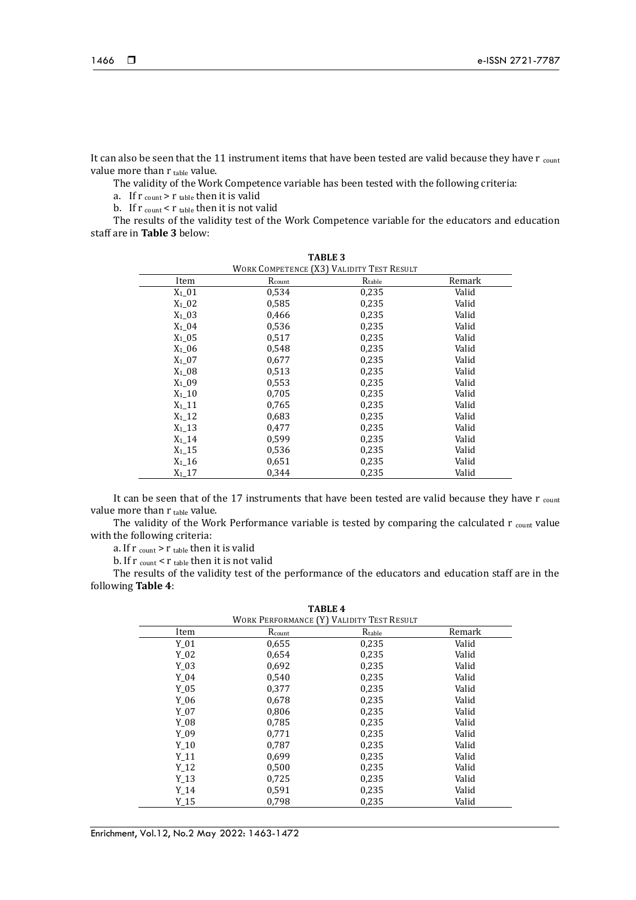It can also be seen that the 11 instrument items that have been tested are valid because they have r count value more than r table value.

The validity of the Work Competence variable has been tested with the following criteria:

a. If  $r_{\text{count}} > r_{\text{table}}$  then it is valid

b. If  $r_{\text{count}} < r_{\text{table}}$  then it is not valid

The results of the validity test of the Work Competence variable for the educators and education staff are in **Table 3** below:

| TABLE 3<br>WORK COMPETENCE (X3) VALIDITY TEST RESULT |                    |             |        |  |
|------------------------------------------------------|--------------------|-------------|--------|--|
| Item                                                 | $R_{\text{count}}$ | $R_{table}$ | Remark |  |
| $X_1$ 01                                             | 0,534              | 0,235       | Valid  |  |
| $X_1$ 02                                             | 0,585              | 0,235       | Valid  |  |
| $X_1$ 03                                             | 0,466              | 0,235       | Valid  |  |
| $X_1$ 04                                             | 0,536              | 0,235       | Valid  |  |
| $X_1$ 05                                             | 0,517              | 0,235       | Valid  |  |
| $X_1$ 06                                             | 0.548              | 0,235       | Valid  |  |
| $X_1$ 07                                             | 0,677              | 0,235       | Valid  |  |
| $X_1$ 08                                             | 0,513              | 0,235       | Valid  |  |
| $X_1$ 09                                             | 0,553              | 0,235       | Valid  |  |
| $X_1$ 10                                             | 0,705              | 0,235       | Valid  |  |
| $X_1$ 11                                             | 0,765              | 0,235       | Valid  |  |
| $X_1$ 12                                             | 0,683              | 0,235       | Valid  |  |
| $X_1$ 13                                             | 0,477              | 0,235       | Valid  |  |
| $X_1$ 14                                             | 0,599              | 0,235       | Valid  |  |
| $X_1$ 15                                             | 0,536              | 0,235       | Valid  |  |
| $X_1$ 16                                             | 0,651              | 0,235       | Valid  |  |
| $X_1$ 17                                             | 0.344              | 0,235       | Valid  |  |

It can be seen that of the 17 instruments that have been tested are valid because they have r count value more than  $r_{table}$  value.

The validity of the Work Performance variable is tested by comparing the calculated  $r_{\text{count}}$  value with the following criteria:

a. If  $r_{\text{count}}$  >  $r_{\text{table}}$  then it is valid

b. If  $r_{\text{count}} < r_{\text{table}}$  then it is not valid

The results of the validity test of the performance of the educators and education staff are in the following **Table 4**:

**TABLE 4**

| WORK PERFORMANCE (Y) VALIDITY TEST RESULT |        |        |        |  |
|-------------------------------------------|--------|--------|--------|--|
| Item                                      | Rcount | Rtable | Remark |  |
| $Y_01$                                    | 0,655  | 0,235  | Valid  |  |
| Y 02                                      | 0,654  | 0,235  | Valid  |  |
| Y 03                                      | 0,692  | 0,235  | Valid  |  |
| Y 04                                      | 0,540  | 0,235  | Valid  |  |
| Y 05                                      | 0,377  | 0,235  | Valid  |  |
| Y 06                                      | 0,678  | 0,235  | Valid  |  |
| $Y_07$                                    | 0,806  | 0,235  | Valid  |  |
| Y 08                                      | 0,785  | 0,235  | Valid  |  |
| Y 09                                      | 0,771  | 0,235  | Valid  |  |
| Y 10                                      | 0,787  | 0,235  | Valid  |  |
| Y 11                                      | 0,699  | 0,235  | Valid  |  |
| $Y_12$                                    | 0,500  | 0,235  | Valid  |  |
| Y 13                                      | 0,725  | 0,235  | Valid  |  |
| Y 14                                      | 0,591  | 0,235  | Valid  |  |
| Y 15                                      | 0,798  | 0,235  | Valid  |  |
|                                           |        |        |        |  |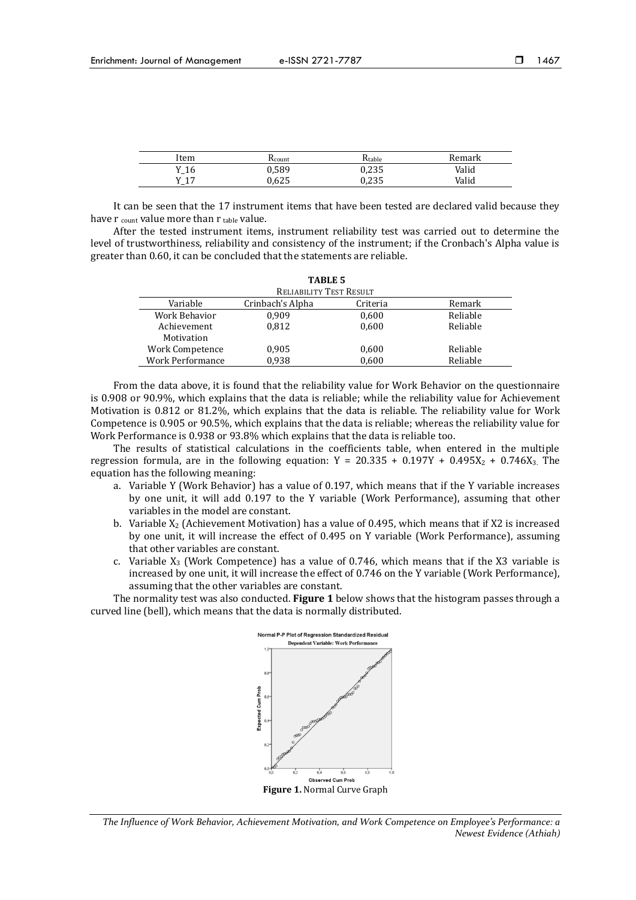| Item | Acount. | $K$ table | Remark |
|------|---------|-----------|--------|
| Y_16 | 0,589   | 0,235     | Valid  |
| V 17 | 0.625   | 0,235     | Valid  |

It can be seen that the 17 instrument items that have been tested are declared valid because they have  $r_{\text{count}}$  value more than  $r_{\text{table}}$  value.

After the tested instrument items, instrument reliability test was carried out to determine the level of trustworthiness, reliability and consistency of the instrument; if the Cronbach's Alpha value is greater than 0.60, it can be concluded that the statements are reliable.

| <b>TABLE 5</b>          |                         |          |          |  |
|-------------------------|-------------------------|----------|----------|--|
|                         | RELIABILITY TEST RESULT |          |          |  |
| Variable                | Crinbach's Alpha        | Criteria | Remark   |  |
| Work Behavior           | 0.909                   | 0,600    | Reliable |  |
| Achievement             | 0.812                   | 0.600    | Reliable |  |
| Motivation              |                         |          |          |  |
| Work Competence         | 0,905                   | 0,600    | Reliable |  |
| <b>Work Performance</b> | 0.938                   | 0,600    | Reliable |  |

From the data above, it is found that the reliability value for Work Behavior on the questionnaire is 0.908 or 90.9%, which explains that the data is reliable; while the reliability value for Achievement Motivation is 0.812 or 81.2%, which explains that the data is reliable. The reliability value for Work Competence is 0.905 or 90.5%, which explains that the data is reliable; whereas the reliability value for Work Performance is 0.938 or 93.8% which explains that the data is reliable too.

The results of statistical calculations in the coefficients table, when entered in the multiple regression formula, are in the following equation:  $Y = 20.335 + 0.197Y + 0.495X_2 + 0.746X_3$ . The equation has the following meaning:

- a. Variable Y (Work Behavior) has a value of 0.197, which means that if the Y variable increases by one unit, it will add 0.197 to the Y variable (Work Performance), assuming that other variables in the model are constant.
- b. Variable  $X_2$  (Achievement Motivation) has a value of 0.495, which means that if X2 is increased by one unit, it will increase the effect of 0.495 on Y variable (Work Performance), assuming that other variables are constant.
- c. Variable  $X_3$  (Work Competence) has a value of 0.746, which means that if the X3 variable is increased by one unit, it will increase the effect of 0.746 on the Y variable (Work Performance), assuming that the other variables are constant.

The normality test was also conducted. **Figure 1** below shows that the histogram passes through a curved line (bell), which means that the data is normally distributed.



*The Influence of Work Behavior, Achievement Motivation, and Work Competence on Employee's Performance: a Newest Evidence (Athiah)*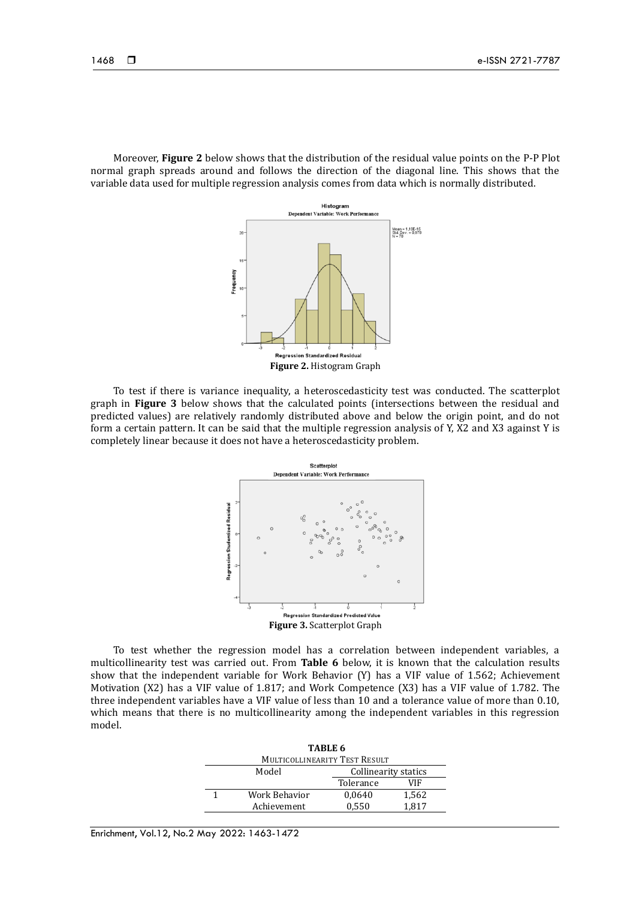Moreover, **Figure 2** below shows that the distribution of the residual value points on the P-P Plot normal graph spreads around and follows the direction of the diagonal line. This shows that the variable data used for multiple regression analysis comes from data which is normally distributed.



To test if there is variance inequality, a heteroscedasticity test was conducted. The scatterplot graph in **Figure 3** below shows that the calculated points (intersections between the residual and predicted values) are relatively randomly distributed above and below the origin point, and do not form a certain pattern. It can be said that the multiple regression analysis of Y, X2 and X3 against Y is completely linear because it does not have a heteroscedasticity problem.



To test whether the regression model has a correlation between independent variables, a multicollinearity test was carried out. From **Table 6** below, it is known that the calculation results show that the independent variable for Work Behavior (Y) has a VIF value of 1.562; Achievement Motivation (X2) has a VIF value of 1.817; and Work Competence (X3) has a VIF value of 1.782. The three independent variables have a VIF value of less than 10 and a tolerance value of more than 0.10, which means that there is no multicollinearity among the independent variables in this regression model.

| TABLE 6                       |                               |           |       |  |
|-------------------------------|-------------------------------|-----------|-------|--|
| MULTICOLLINEARITY TEST RESULT |                               |           |       |  |
|                               | Model<br>Collinearity statics |           |       |  |
|                               |                               | Tolerance | VIF   |  |
|                               | Work Behavior                 | 0,0640    | 1,562 |  |
|                               | Achievement                   | 0,550     | 1.817 |  |

Enrichment, Vol.12, No.2 May 2022: 1463-1472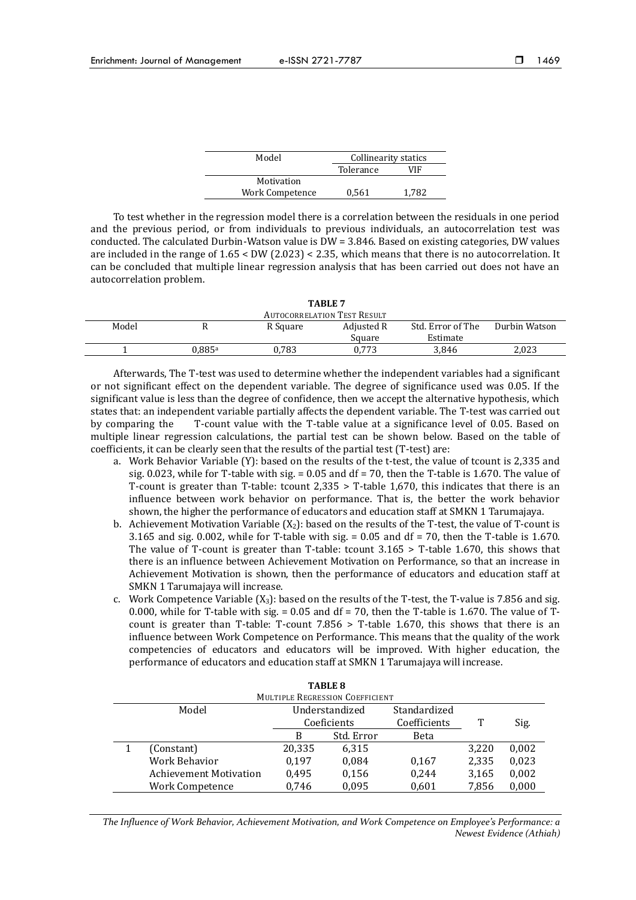| Model           | Collinearity statics |       |
|-----------------|----------------------|-------|
|                 | Tolerance            | VIF   |
| Motivation      |                      |       |
| Work Competence | 0.561                | 1.782 |
|                 |                      |       |

To test whether in the regression model there is a correlation between the residuals in one period and the previous period, or from individuals to previous individuals, an autocorrelation test was conducted. The calculated Durbin-Watson value is DW = 3.846. Based on existing categories, DW values are included in the range of 1.65 < DW (2.023) < 2.35, which means that there is no autocorrelation. It can be concluded that multiple linear regression analysis that has been carried out does not have an autocorrelation problem.

| TABLE 7                            |        |          |            |                   |               |
|------------------------------------|--------|----------|------------|-------------------|---------------|
| <b>AUTOCORRELATION TEST RESULT</b> |        |          |            |                   |               |
| Model                              |        | R Square | Adjusted R | Std. Error of The | Durbin Watson |
|                                    |        |          | Square     | Estimate          |               |
|                                    | 0.885ª | 0.783    | 0.773      | 3.846             | 2.023         |
|                                    |        |          |            |                   |               |

Afterwards, The T-test was used to determine whether the independent variables had a significant or not significant effect on the dependent variable. The degree of significance used was 0.05. If the significant value is less than the degree of confidence, then we accept the alternative hypothesis, which states that: an independent variable partially affects the dependent variable. The T-test was carried out by comparing the T-count value with the T-table value at a significance level of 0.05. Based on multiple linear regression calculations, the partial test can be shown below. Based on the table of coefficients, it can be clearly seen that the results of the partial test (T-test) are:

- a. Work Behavior Variable (Y): based on the results of the t-test, the value of tcount is 2,335 and sig. 0.023, while for T-table with sig.  $= 0.05$  and df  $= 70$ , then the T-table is 1.670. The value of T-count is greater than T-table: tcount 2,335 > T-table 1,670, this indicates that there is an influence between work behavior on performance. That is, the better the work behavior shown, the higher the performance of educators and education staff at SMKN 1 Tarumajaya.
- b. Achievement Motivation Variable  $(X_2)$ : based on the results of the T-test, the value of T-count is 3.165 and sig. 0.002, while for T-table with sig.  $= 0.05$  and df  $= 70$ , then the T-table is 1.670. The value of T-count is greater than T-table: tcount  $3.165 >$  T-table 1.670, this shows that there is an influence between Achievement Motivation on Performance, so that an increase in Achievement Motivation is shown, then the performance of educators and education staff at SMKN 1 Tarumajaya will increase.
- c. Work Competence Variable  $(X_3)$ : based on the results of the T-test, the T-value is 7.856 and sig. 0.000, while for T-table with sig.  $= 0.05$  and df  $= 70$ , then the T-table is 1.670. The value of Tcount is greater than T-table: T-count 7.856 > T-table 1.670, this shows that there is an influence between Work Competence on Performance. This means that the quality of the work competencies of educators and educators will be improved. With higher education, the performance of educators and education staff at SMKN 1 Tarumajaya will increase.

| TABLE 8                                |                               |                |            |              |       |       |  |
|----------------------------------------|-------------------------------|----------------|------------|--------------|-------|-------|--|
| <b>MULTIPLE REGRESSION COEFFICIENT</b> |                               |                |            |              |       |       |  |
| Model                                  |                               | Understandized |            | Standardized |       |       |  |
|                                        |                               | Coeficients    |            | Coefficients | Т     | Sig.  |  |
|                                        |                               | В              | Std. Error | Beta         |       |       |  |
|                                        | (Constant)                    | 20,335         | 6,315      |              | 3.220 | 0,002 |  |
|                                        | Work Behavior                 | 0,197          | 0,084      | 0,167        | 2,335 | 0,023 |  |
|                                        | <b>Achievement Motivation</b> | 0,495          | 0,156      | 0,244        | 3,165 | 0,002 |  |
|                                        | Work Competence               | 0,746          | 0,095      | 0,601        | 7,856 | 0,000 |  |

*The Influence of Work Behavior, Achievement Motivation, and Work Competence on Employee's Performance: a Newest Evidence (Athiah)*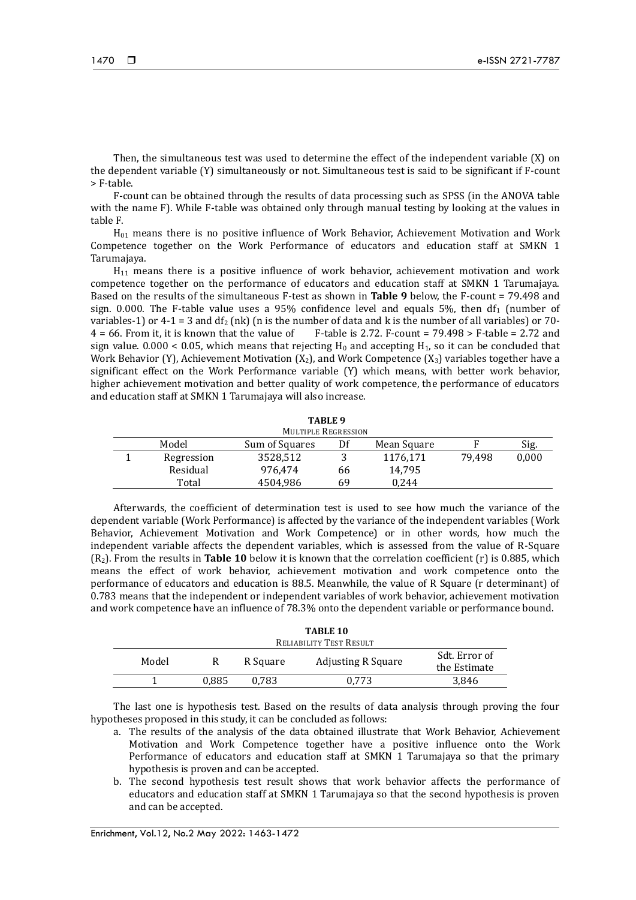Then, the simultaneous test was used to determine the effect of the independent variable (X) on the dependent variable (Y) simultaneously or not. Simultaneous test is said to be significant if F-count > F-table.

F-count can be obtained through the results of data processing such as SPSS (in the ANOVA table with the name F). While F-table was obtained only through manual testing by looking at the values in table F.

H<sup>01</sup> means there is no positive influence of Work Behavior, Achievement Motivation and Work Competence together on the Work Performance of educators and education staff at SMKN 1 Tarumajaya.

H<sup>11</sup> means there is a positive influence of work behavior, achievement motivation and work competence together on the performance of educators and education staff at SMKN 1 Tarumajaya. Based on the results of the simultaneous F-test as shown in **Table 9** below, the F-count = 79.498 and sign. 0.000. The F-table value uses a 95% confidence level and equals 5%, then  $df_1$  (number of variables-1) or 4-1 = 3 and df<sub>2</sub> (nk) (n is the number of data and k is the number of all variables) or 70-<br>4 = 66. From it, it is known that the value of F-table is 2.72. F-count = 79.498 > F-table = 2.72 and  $F$ -table is 2.72. F-count = 79.498 > F-table = 2.72 and sign value. 0.000 < 0.05, which means that rejecting  $H_0$  and accepting  $H_1$ , so it can be concluded that Work Behavior (Y), Achievement Motivation (X<sub>2</sub>), and Work Competence (X<sub>3</sub>) variables together have a significant effect on the Work Performance variable (Y) which means, with better work behavior, higher achievement motivation and better quality of work competence, the performance of educators and education staff at SMKN 1 Tarumajaya will also increase.

| TABLE <sub>9</sub> |                            |                |     |             |        |       |  |
|--------------------|----------------------------|----------------|-----|-------------|--------|-------|--|
|                    | <b>MULTIPLE REGRESSION</b> |                |     |             |        |       |  |
|                    | Model                      | Sum of Squares | Df  | Mean Square |        | Sig.  |  |
|                    | Regression                 | 3528,512       | . . | 1176,171    | 79.498 | 0,000 |  |
|                    | Residual                   | 976.474        | 66  | 14.795      |        |       |  |
|                    | Total                      | 4504.986       | 69  | 0.244       |        |       |  |

Afterwards, the coefficient of determination test is used to see how much the variance of the dependent variable (Work Performance) is affected by the variance of the independent variables (Work Behavior, Achievement Motivation and Work Competence) or in other words, how much the independent variable affects the dependent variables, which is assessed from the value of R-Square (R2). From the results in **Table 10** below it is known that the correlation coefficient (r) is 0.885, which means the effect of work behavior, achievement motivation and work competence onto the performance of educators and education is 88.5. Meanwhile, the value of R Square (r determinant) of 0.783 means that the independent or independent variables of work behavior, achievement motivation and work competence have an influence of 78.3% onto the dependent variable or performance bound.

| TABLE 10                |       |          |                           |                               |  |  |
|-------------------------|-------|----------|---------------------------|-------------------------------|--|--|
| RELIABILITY TEST RESULT |       |          |                           |                               |  |  |
| Model                   |       | R Square | <b>Adjusting R Square</b> | Sdt. Error of<br>the Estimate |  |  |
|                         | 0.885 | 0.783    | 0.773                     | 3.846                         |  |  |
|                         |       |          |                           |                               |  |  |

The last one is hypothesis test. Based on the results of data analysis through proving the four hypotheses proposed in this study, it can be concluded as follows:

- a. The results of the analysis of the data obtained illustrate that Work Behavior, Achievement Motivation and Work Competence together have a positive influence onto the Work Performance of educators and education staff at SMKN 1 Tarumajaya so that the primary hypothesis is proven and can be accepted.
- b. The second hypothesis test result shows that work behavior affects the performance of educators and education staff at SMKN 1 Tarumajaya so that the second hypothesis is proven and can be accepted.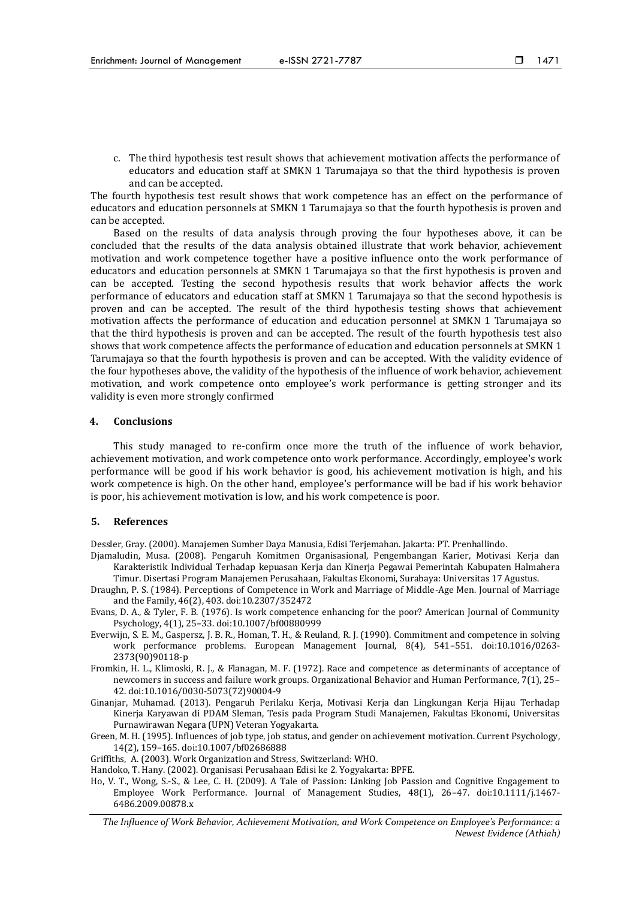c. The third hypothesis test result shows that achievement motivation affects the performance of educators and education staff at SMKN 1 Tarumajaya so that the third hypothesis is proven and can be accepted.

The fourth hypothesis test result shows that work competence has an effect on the performance of educators and education personnels at SMKN 1 Tarumajaya so that the fourth hypothesis is proven and can be accepted.

Based on the results of data analysis through proving the four hypotheses above, it can be concluded that the results of the data analysis obtained illustrate that work behavior, achievement motivation and work competence together have a positive influence onto the work performance of educators and education personnels at SMKN 1 Tarumajaya so that the first hypothesis is proven and can be accepted. Testing the second hypothesis results that work behavior affects the work performance of educators and education staff at SMKN 1 Tarumajaya so that the second hypothesis is proven and can be accepted. The result of the third hypothesis testing shows that achievement motivation affects the performance of education and education personnel at SMKN 1 Tarumajaya so that the third hypothesis is proven and can be accepted. The result of the fourth hypothesis test also shows that work competence affects the performance of education and education personnels at SMKN 1 Tarumajaya so that the fourth hypothesis is proven and can be accepted. With the validity evidence of the four hypotheses above, the validity of the hypothesis of the influence of work behavior, achievement motivation, and work competence onto employee's work performance is getting stronger and its validity is even more strongly confirmed

### **4. Conclusions**

This study managed to re-confirm once more the truth of the influence of work behavior, achievement motivation, and work competence onto work performance. Accordingly, employee's work performance will be good if his work behavior is good, his achievement motivation is high, and his work competence is high. On the other hand, employee's performance will be bad if his work behavior is poor, his achievement motivation is low, and his work competence is poor.

#### **5. References**

Dessler, Gray. (2000). Manajemen Sumber Daya Manusia, Edisi Terjemahan. Jakarta: PT. Prenhallindo.

- Djamaludin, Musa. (2008). Pengaruh Komitmen Organisasional, Pengembangan Karier, Motivasi Kerja dan Karakteristik Individual Terhadap kepuasan Kerja dan Kinerja Pegawai Pemerintah Kabupaten Halmahera Timur. Disertasi Program Manajemen Perusahaan, Fakultas Ekonomi, Surabaya: Universitas 17 Agustus.
- Draughn, P. S. (1984). Perceptions of Competence in Work and Marriage of Middle-Age Men. Journal of Marriage and the Family, 46(2), 403. doi:10.2307/352472
- Evans, D. A., & Tyler, F. B. (1976). Is work competence enhancing for the poor? American Journal of Community Psychology, 4(1), 25–33. doi:10.1007/bf00880999
- Everwijn, S. E. M., Gaspersz, J. B. R., Homan, T. H., & Reuland, R. J. (1990). Commitment and competence in solving work performance problems. European Management Journal, 8(4), 541–551. doi:10.1016/0263- 2373(90)90118-p
- Fromkin, H. L., Klimoski, R. J., & Flanagan, M. F. (1972). Race and competence as determinants of acceptance of newcomers in success and failure work groups. Organizational Behavior and Human Performance, 7(1), 25– 42. doi:10.1016/0030-5073(72)90004-9
- Ginanjar, Muhamad. (2013). Pengaruh Perilaku Kerja, Motivasi Kerja dan Lingkungan Kerja Hijau Terhadap Kinerja Karyawan di PDAM Sleman, Tesis pada Program Studi Manajemen, Fakultas Ekonomi, Universitas Purnawirawan Negara (UPN) Veteran Yogyakarta.
- Green, M. H. (1995). Influences of job type, job status, and gender on achievement motivation. Current Psychology, 14(2), 159–165. doi:10.1007/bf02686888
- Griffiths, A. (2003). Work Organization and Stress, Switzerland: WHO.
- Handoko, T. Hany. (2002). Organisasi Perusahaan Edisi ke 2. Yogyakarta: BPFE.
- Ho, V. T., Wong, S.-S., & Lee, C. H. (2009). A Tale of Passion: Linking Job Passion and Cognitive Engagement to Employee Work Performance. Journal of Management Studies, 48(1), 26–47. doi:10.1111/j.1467- 6486.2009.00878.x

*The Influence of Work Behavior, Achievement Motivation, and Work Competence on Employee's Performance: a Newest Evidence (Athiah)*